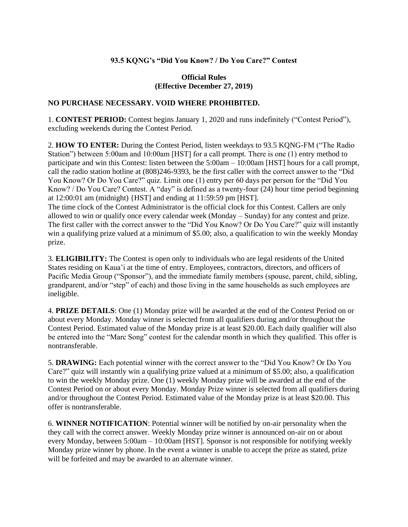## **93.5 KQNG's "Did You Know? / Do You Care?" Contest**

## **Official Rules (Effective December 27, 2019)**

## **NO PURCHASE NECESSARY. VOID WHERE PROHIBITED.**

1. **CONTEST PERIOD:** Contest begins January 1, 2020 and runs indefinitely ("Contest Period"), excluding weekends during the Contest Period.

2. **HOW TO ENTER:** During the Contest Period, listen weekdays to 93.5 KQNG-FM ("The Radio Station") between 5:00am and 10:00am [HST] for a call prompt. There is one (1) entry method to participate and win this Contest: listen between the 5:00am – 10:00am [HST] hours for a call prompt, call the radio station hotline at (808)246-9393, be the first caller with the correct answer to the "Did You Know? Or Do You Care?" quiz. Limit one (1) entry per 60 days per person for the "Did You Know? / Do You Care? Contest. A "day" is defined as a twenty-four (24) hour time period beginning at 12:00:01 am (midnight) {HST] and ending at 11:59:59 pm [HST].

The time clock of the Contest Administrator is the official clock for this Contest. Callers are only allowed to win or qualify once every calendar week (Monday – Sunday) for any contest and prize. The first caller with the correct answer to the "Did You Know? Or Do You Care?" quiz will instantly win a qualifying prize valued at a minimum of \$5.00; also, a qualification to win the weekly Monday prize.

3. **ELIGIBILITY:** The Contest is open only to individuals who are legal residents of the United States residing on Kaua'i at the time of entry. Employees, contractors, directors, and officers of Pacific Media Group ("Sponsor"), and the immediate family members (spouse, parent, child, sibling, grandparent, and/or "step" of each) and those living in the same households as such employees are ineligible.

4. **PRIZE DETAILS**: One (1) Monday prize will be awarded at the end of the Contest Period on or about every Monday. Monday winner is selected from all qualifiers during and/or throughout the Contest Period. Estimated value of the Monday prize is at least \$20.00. Each daily qualifier will also be entered into the "Marc Song" contest for the calendar month in which they qualified. This offer is nontransferable.

5. **DRAWING:** Each potential winner with the correct answer to the "Did You Know? Or Do You Care?" quiz will instantly win a qualifying prize valued at a minimum of \$5.00; also, a qualification to win the weekly Monday prize. One (1) weekly Monday prize will be awarded at the end of the Contest Period on or about every Monday. Monday Prize winner is selected from all qualifiers during and/or throughout the Contest Period. Estimated value of the Monday prize is at least \$20.00. This offer is nontransferable.

6. **WINNER NOTIFICATION**: Potential winner will be notified by on-air personality when the they call with the correct answer. Weekly Monday prize winner is announced on-air on or about every Monday, between 5:00am – 10:00am [HST]. Sponsor is not responsible for notifying weekly Monday prize winner by phone. In the event a winner is unable to accept the prize as stated, prize will be forfeited and may be awarded to an alternate winner.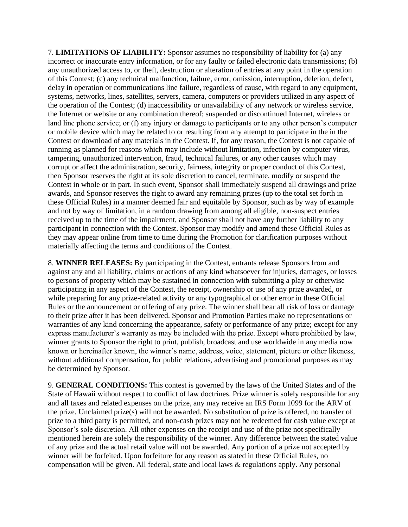7. **LIMITATIONS OF LIABILITY:** Sponsor assumes no responsibility of liability for (a) any incorrect or inaccurate entry information, or for any faulty or failed electronic data transmissions; (b) any unauthorized access to, or theft, destruction or alteration of entries at any point in the operation of this Contest; (c) any technical malfunction, failure, error, omission, interruption, deletion, defect, delay in operation or communications line failure, regardless of cause, with regard to any equipment, systems, networks, lines, satellites, servers, camera, computers or providers utilized in any aspect of the operation of the Contest; (d) inaccessibility or unavailability of any network or wireless service, the Internet or website or any combination thereof; suspended or discontinued Internet, wireless or land line phone service; or (f) any injury or damage to participants or to any other person's computer or mobile device which may be related to or resulting from any attempt to participate in the in the Contest or download of any materials in the Contest. If, for any reason, the Contest is not capable of running as planned for reasons which may include without limitation, infection by computer virus, tampering, unauthorized intervention, fraud, technical failures, or any other causes which may corrupt or affect the administration, security, fairness, integrity or proper conduct of this Contest, then Sponsor reserves the right at its sole discretion to cancel, terminate, modify or suspend the Contest in whole or in part. In such event, Sponsor shall immediately suspend all drawings and prize awards, and Sponsor reserves the right to award any remaining prizes (up to the total set forth in these Official Rules) in a manner deemed fair and equitable by Sponsor, such as by way of example and not by way of limitation, in a random drawing from among all eligible, non-suspect entries received up to the time of the impairment, and Sponsor shall not have any further liability to any participant in connection with the Contest. Sponsor may modify and amend these Official Rules as they may appear online from time to time during the Promotion for clarification purposes without materially affecting the terms and conditions of the Contest.

8. **WINNER RELEASES:** By participating in the Contest, entrants release Sponsors from and against any and all liability, claims or actions of any kind whatsoever for injuries, damages, or losses to persons of property which may be sustained in connection with submitting a play or otherwise participating in any aspect of the Contest, the receipt, ownership or use of any prize awarded, or while preparing for any prize-related activity or any typographical or other error in these Official Rules or the announcement or offering of any prize. The winner shall bear all risk of loss or damage to their prize after it has been delivered. Sponsor and Promotion Parties make no representations or warranties of any kind concerning the appearance, safety or performance of any prize; except for any express manufacturer's warranty as may be included with the prize. Except where prohibited by law, winner grants to Sponsor the right to print, publish, broadcast and use worldwide in any media now known or hereinafter known, the winner's name, address, voice, statement, picture or other likeness, without additional compensation, for public relations, advertising and promotional purposes as may be determined by Sponsor.

9. **GENERAL CONDITIONS:** This contest is governed by the laws of the United States and of the State of Hawaii without respect to conflict of law doctrines. Prize winner is solely responsible for any and all taxes and related expenses on the prize, any may receive an IRS Form 1099 for the ARV of the prize. Unclaimed prize(s) will not be awarded. No substitution of prize is offered, no transfer of prize to a third party is permitted, and non-cash prizes may not be redeemed for cash value except at Sponsor's sole discretion. All other expenses on the receipt and use of the prize not specifically mentioned herein are solely the responsibility of the winner. Any difference between the stated value of any prize and the actual retail value will not be awarded. Any portion of a prize not accepted by winner will be forfeited. Upon forfeiture for any reason as stated in these Official Rules, no compensation will be given. All federal, state and local laws & regulations apply. Any personal